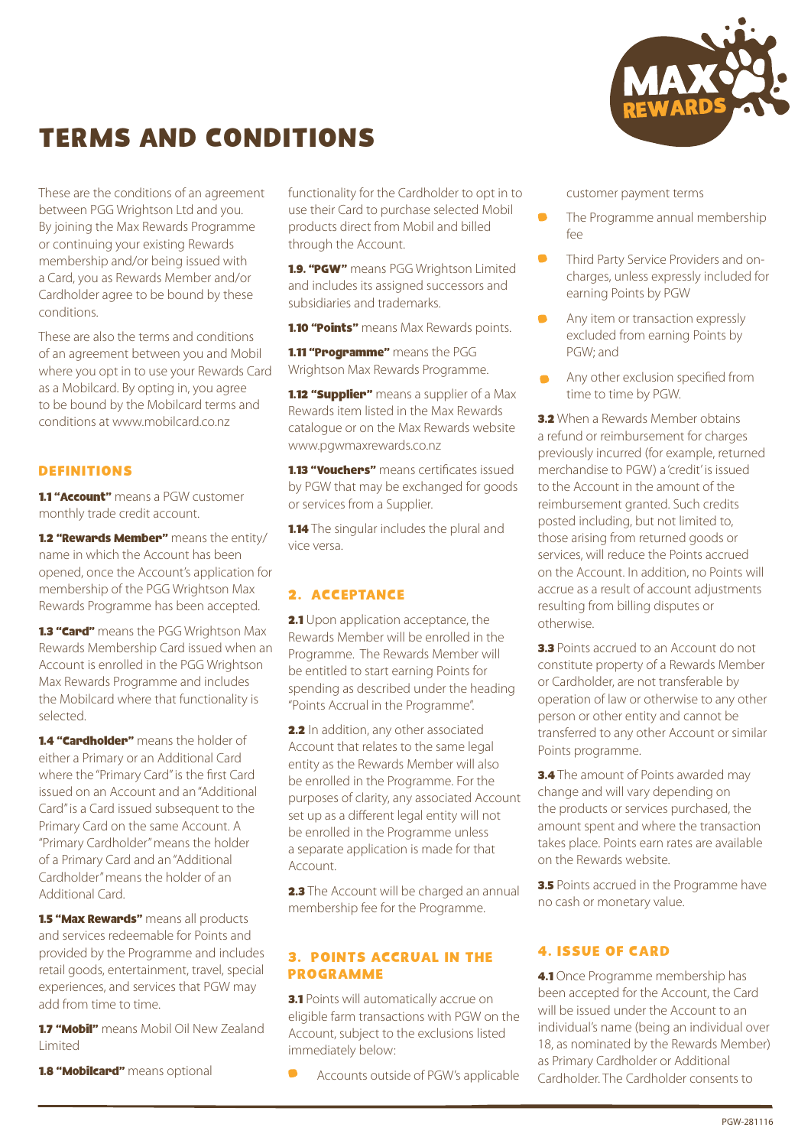

# TERMS AND CONDITIONS

These are the conditions of an agreement between PGG Wrightson Ltd and you. By joining the Max Rewards Programme or continuing your existing Rewards membership and/or being issued with a Card, you as Rewards Member and/or Cardholder agree to be bound by these conditions.

These are also the terms and conditions of an agreement between you and Mobil where you opt in to use your Rewards Card as a Mobilcard. By opting in, you agree to be bound by the Mobilcard terms and conditions at www.mobilcard.co.nz

#### DEFINITIONS

**1.1 "Account"** means a PGW customer monthly trade credit account.

1.2 "Rewards Member" means the entity/ name in which the Account has been opened, once the Account's application for membership of the PGG Wrightson Max Rewards Programme has been accepted.

1.3 "Card" means the PGG Wrightson Max Rewards Membership Card issued when an Account is enrolled in the PGG Wrightson Max Rewards Programme and includes the Mobilcard where that functionality is selected.

1.4 "Cardholder" means the holder of either a Primary or an Additional Card where the "Primary Card" is the first Card issued on an Account and an "Additional Card" is a Card issued subsequent to the Primary Card on the same Account. A "Primary Cardholder" means the holder of a Primary Card and an "Additional Cardholder" means the holder of an Additional Card.

**1.5 "Max Rewards"** means all products and services redeemable for Points and provided by the Programme and includes retail goods, entertainment, travel, special experiences, and services that PGW may add from time to time.

1.7 "Mobil" means Mobil Oil New Zealand Limited

**1.8 "Mobilcard"** means optional

functionality for the Cardholder to opt in to use their Card to purchase selected Mobil products direct from Mobil and billed through the Account.

1.9. "PGW" means PGG Wrightson Limited and includes its assigned successors and subsidiaries and trademarks.

**1.10 "Points"** means Max Rewards points.

**1.11 "Programme"** means the PGG Wrightson Max Rewards Programme.

**1.12 "Supplier"** means a supplier of a Max Rewards item listed in the Max Rewards catalogue or on the Max Rewards website www.pgwmaxrewards.co.nz

**1.13 "Vouchers"** means certificates issued by PGW that may be exchanged for goods or services from a Supplier.

1.14 The singular includes the plural and vice versa.

#### 2. ACCEPTANCE

2.1 Upon application acceptance, the Rewards Member will be enrolled in the Programme. The Rewards Member will be entitled to start earning Points for spending as described under the heading "Points Accrual in the Programme".

2.2 In addition, any other associated Account that relates to the same legal entity as the Rewards Member will also be enrolled in the Programme. For the purposes of clarity, any associated Account set up as a different legal entity will not be enrolled in the Programme unless a separate application is made for that Account.

**2.3** The Account will be charged an annual membership fee for the Programme.

#### 3. POINTS ACCRUAL IN THE PROGRAMME

**3.1** Points will automatically accrue on eligible farm transactions with PGW on the Account, subject to the exclusions listed immediately below:

Accounts outside of PGW's applicable

customer payment terms

- $\blacksquare$ The Programme annual membership  $f_{\rho\rho}$
- Third Party Service Providers and oncharges, unless expressly included for earning Points by PGW
- Any item or transaction expressly excluded from earning Points by PGW; and
- Any other exclusion specified from time to time by PGW.

**3.2** When a Rewards Member obtains a refund or reimbursement for charges previously incurred (for example, returned merchandise to PGW) a 'credit' is issued to the Account in the amount of the reimbursement granted. Such credits posted including, but not limited to, those arising from returned goods or services, will reduce the Points accrued on the Account. In addition, no Points will accrue as a result of account adjustments resulting from billing disputes or otherwise.

3.3 Points accrued to an Account do not constitute property of a Rewards Member or Cardholder, are not transferable by operation of law or otherwise to any other person or other entity and cannot be transferred to any other Account or similar Points programme.

**3.4** The amount of Points awarded may change and will vary depending on the products or services purchased, the amount spent and where the transaction takes place. Points earn rates are available on the Rewards website.

**3.5** Points accrued in the Programme have no cash or monetary value.

## 4. ISSUE OF CARD

4.1 Once Programme membership has been accepted for the Account, the Card will be issued under the Account to an individual's name (being an individual over 18, as nominated by the Rewards Member) as Primary Cardholder or Additional Cardholder. The Cardholder consents to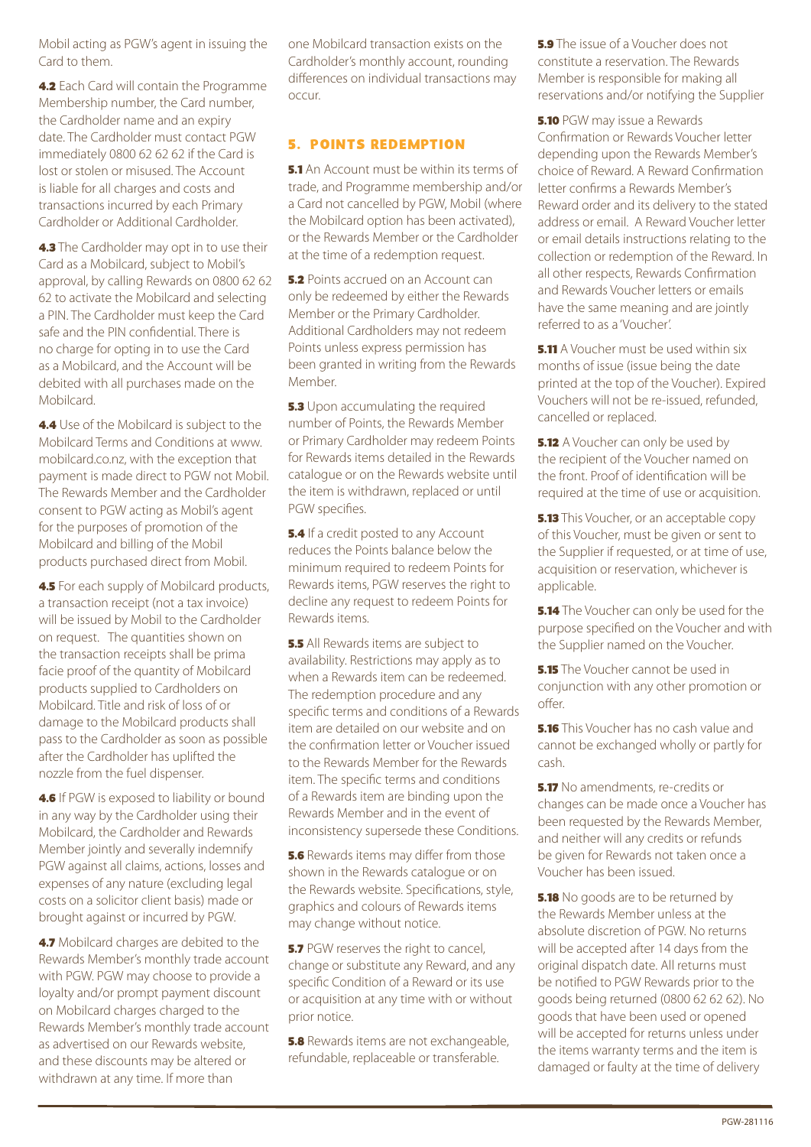Mobil acting as PGW's agent in issuing the Card to them.

4.2 Each Card will contain the Programme Membership number, the Card number, the Cardholder name and an expiry date. The Cardholder must contact PGW immediately 0800 62 62 62 if the Card is lost or stolen or misused. The Account is liable for all charges and costs and transactions incurred by each Primary Cardholder or Additional Cardholder.

**4.3** The Cardholder may opt in to use their Card as a Mobilcard, subject to Mobil's approval, by calling Rewards on 0800 62 62 62 to activate the Mobilcard and selecting a PIN. The Cardholder must keep the Card safe and the PIN confidential. There is no charge for opting in to use the Card as a Mobilcard, and the Account will be debited with all purchases made on the Mobilcard.

4.4 Use of the Mobilcard is subject to the Mobilcard Terms and Conditions at www. mobilcard.co.nz, with the exception that payment is made direct to PGW not Mobil. The Rewards Member and the Cardholder consent to PGW acting as Mobil's agent for the purposes of promotion of the Mobilcard and billing of the Mobil products purchased direct from Mobil.

**4.5** For each supply of Mobilcard products, a transaction receipt (not a tax invoice) will be issued by Mobil to the Cardholder on request. The quantities shown on the transaction receipts shall be prima facie proof of the quantity of Mobilcard products supplied to Cardholders on Mobilcard. Title and risk of loss of or damage to the Mobilcard products shall pass to the Cardholder as soon as possible after the Cardholder has uplifted the nozzle from the fuel dispenser.

**4.6** If PGW is exposed to liability or bound in any way by the Cardholder using their Mobilcard, the Cardholder and Rewards Member jointly and severally indemnify PGW against all claims, actions, losses and expenses of any nature (excluding legal costs on a solicitor client basis) made or brought against or incurred by PGW.

4.7 Mobilcard charges are debited to the Rewards Member's monthly trade account with PGW. PGW may choose to provide a loyalty and/or prompt payment discount on Mobilcard charges charged to the Rewards Member's monthly trade account as advertised on our Rewards website, and these discounts may be altered or withdrawn at any time. If more than

one Mobilcard transaction exists on the Cardholder's monthly account, rounding differences on individual transactions may occur.

## 5. POINTS REDEMPTION

**5.1** An Account must be within its terms of trade, and Programme membership and/or a Card not cancelled by PGW, Mobil (where the Mobilcard option has been activated), or the Rewards Member or the Cardholder at the time of a redemption request.

**5.2** Points accrued on an Account can only be redeemed by either the Rewards Member or the Primary Cardholder. Additional Cardholders may not redeem Points unless express permission has been granted in writing from the Rewards Member.

**5.3** Upon accumulating the required number of Points, the Rewards Member or Primary Cardholder may redeem Points for Rewards items detailed in the Rewards catalogue or on the Rewards website until the item is withdrawn, replaced or until PGW specifies.

**5.4** If a credit posted to any Account reduces the Points balance below the minimum required to redeem Points for Rewards items, PGW reserves the right to decline any request to redeem Points for Rewards items.

**5.5** All Rewards items are subject to availability. Restrictions may apply as to when a Rewards item can be redeemed. The redemption procedure and any specific terms and conditions of a Rewards item are detailed on our website and on the confirmation letter or Voucher issued to the Rewards Member for the Rewards item. The specific terms and conditions of a Rewards item are binding upon the Rewards Member and in the event of inconsistency supersede these Conditions.

**5.6** Rewards items may differ from those shown in the Rewards catalogue or on the Rewards website. Specifications, style, graphics and colours of Rewards items may change without notice.

**5.7** PGW reserves the right to cancel. change or substitute any Reward, and any specific Condition of a Reward or its use or acquisition at any time with or without prior notice.

**5.8** Rewards items are not exchangeable, refundable, replaceable or transferable.

5.9 The issue of a Voucher does not constitute a reservation. The Rewards Member is responsible for making all reservations and/or notifying the Supplier

**5.10 PGW may issue a Rewards** Confirmation or Rewards Voucher letter depending upon the Rewards Member's choice of Reward. A Reward Confirmation letter confirms a Rewards Member's Reward order and its delivery to the stated address or email. A Reward Voucher letter or email details instructions relating to the collection or redemption of the Reward. In all other respects, Rewards Confirmation and Rewards Voucher letters or emails have the same meaning and are jointly referred to as a 'Voucher'.

**5.11** A Voucher must be used within six months of issue (issue being the date printed at the top of the Voucher). Expired Vouchers will not be re-issued, refunded, cancelled or replaced.

**5.12** A Voucher can only be used by the recipient of the Voucher named on the front. Proof of identification will be required at the time of use or acquisition.

**5.13** This Voucher, or an acceptable copy of this Voucher, must be given or sent to the Supplier if requested, or at time of use, acquisition or reservation, whichever is applicable.

**5.14** The Voucher can only be used for the purpose specified on the Voucher and with the Supplier named on the Voucher.

**5.15** The Voucher cannot be used in conjunction with any other promotion or offer.

**5.16** This Voucher has no cash value and cannot be exchanged wholly or partly for cash.

**5.17** No amendments, re-credits or changes can be made once a Voucher has been requested by the Rewards Member, and neither will any credits or refunds be given for Rewards not taken once a Voucher has been issued.

**5.18** No goods are to be returned by the Rewards Member unless at the absolute discretion of PGW. No returns will be accepted after 14 days from the original dispatch date. All returns must be notified to PGW Rewards prior to the goods being returned (0800 62 62 62). No goods that have been used or opened will be accepted for returns unless under the items warranty terms and the item is damaged or faulty at the time of delivery